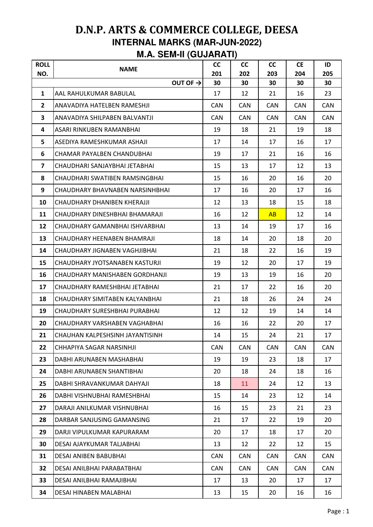## **D.N.P. ARTS & COMMERCE COLLEGE, DEESA INTERNAL MARKS (MAR-JUN-2022) M.A. SEM-II (GUJARATI)**

| <b>ROLL</b><br>NO.      | <b>NAME</b>                     | <b>CC</b><br>201 | <b>CC</b><br>202 | cc<br>203  | <b>CE</b><br>204 | ID<br>205  |
|-------------------------|---------------------------------|------------------|------------------|------------|------------------|------------|
|                         | OUT OF $\rightarrow$            | 30               | 30               | 30         | 30               | 30         |
| $\mathbf{1}$            | AAL RAHULKUMAR BABULAL          | 17               | 12               | 21         | 16               | 23         |
| $\overline{2}$          | ANAVADIYA HATELBEN RAMESHJI     | <b>CAN</b>       | <b>CAN</b>       | <b>CAN</b> | <b>CAN</b>       | <b>CAN</b> |
| $\overline{\mathbf{3}}$ | ANAVADIYA SHILPABEN BALVANTJI   | <b>CAN</b>       | <b>CAN</b>       | <b>CAN</b> | <b>CAN</b>       | <b>CAN</b> |
| 4                       | ASARI RINKUBEN RAMANBHAI        | 19               | 18               | 21         | 19               | 18         |
| 5                       | ASEDIYA RAMESHKUMAR ASHAJI      | 17               | 14               | 17         | 16               | 17         |
| 6                       | CHAMAR PAYALBEN CHANDUBHAI      | 19               | 17               | 21         | 16               | 16         |
| 7                       | CHAUDHARI SANJAYBHAI JETABHAI   | 15               | 13               | 17         | 12               | 13         |
| 8                       | CHAUDHARI SWATIBEN RAMSINGBHAI  | 15               | 16               | 20         | 16               | 20         |
| 9                       | CHAUDHARY BHAVNABEN NARSINHBHAI | 17               | 16               | 20         | 17               | 16         |
| 10                      | CHAUDHARY DHANIBEN KHERAJJI     | 12               | 13               | 18         | 15               | 18         |
| 11                      | CHAUDHARY DINESHBHAI BHAMARAJI  | 16               | 12               | AB         | 12               | 14         |
| 12                      | CHAUDHARY GAMANBHAI ISHVARBHAI  | 13               | 14               | 19         | 17               | 16         |
| 13                      | CHAUDHARY HEENABEN BHAMRAJI     | 18               | 14               | 20         | 18               | 20         |
| 14                      | CHAUDHARY JIGNABEN VAGHJIBHAI   | 21               | 18               | 22         | 16               | 19         |
| 15                      | CHAUDHARY JYOTSANABEN KASTURJI  | 19               | 12               | 20         | 17               | 19         |
| 16                      | CHAUDHARY MANISHABEN GORDHANJI  | 19               | 13               | 19         | 16               | 20         |
| 17                      | CHAUDHARY RAMESHBHAI JETABHAI   | 21               | 17               | 22         | 16               | 20         |
| 18                      | CHAUDHARY SIMITABEN KALYANBHAI  | 21               | 18               | 26         | 24               | 24         |
| 19                      | CHAUDHARY SURESHBHAI PURABHAI   | 12               | 12               | 19         | 14               | 14         |
| 20                      | CHAUDHARY VARSHABEN VAGHABHAI   | 16               | 16               | 22         | 20               | 17         |
| 21                      | CHAUHAN KALPESHSINH JAYANTISINH | 14               | 15               | 24         | 21               | 17         |
| 22                      | CHHAPIYA SAGAR NARSINHJI        | <b>CAN</b>       | CAN              | <b>CAN</b> | <b>CAN</b>       | <b>CAN</b> |
| 23                      | DABHI ARUNABEN MASHABHAI        | 19               | 19               | 23         | 18               | 17         |
| 24                      | DABHI ARUNABEN SHANTIBHAI       | 20               | 18               | 24         | 18               | 16         |
| 25                      | DABHI SHRAVANKUMAR DAHYAJI      | 18               | 11               | 24         | 12               | 13         |
| 26                      | DABHI VISHNUBHAI RAMESHBHAI     | 15               | 14               | 23         | 12               | 14         |
| 27                      | DARAJI ANILKUMAR VISHNUBHAI     | 16               | 15               | 23         | 21               | 23         |
| 28                      | DARBAR SANJUSING GAMANSING      | 21               | 17               | 22         | 19               | 20         |
| 29                      | DARJI VIPULKUMAR KAPURARAM      | 20               | 17               | 18         | 17               | 20         |
| 30                      | DESAI AJAYKUMAR TALJABHAI       | 13               | 12               | 22         | 12               | 15         |
| 31                      | DESAI ANIBEN BABUBHAI           | <b>CAN</b>       | CAN              | CAN        | <b>CAN</b>       | <b>CAN</b> |
| 32                      | DESAI ANILBHAI PARABATBHAI      | <b>CAN</b>       | <b>CAN</b>       | <b>CAN</b> | <b>CAN</b>       | CAN        |
| 33                      | DESAI ANILBHAI RAMAJIBHAI       | 17               | 13               | 20         | 17               | 17         |
| 34                      | DESAI HINABEN MALABHAI          | 13               | 15               | 20         | 16               | 16         |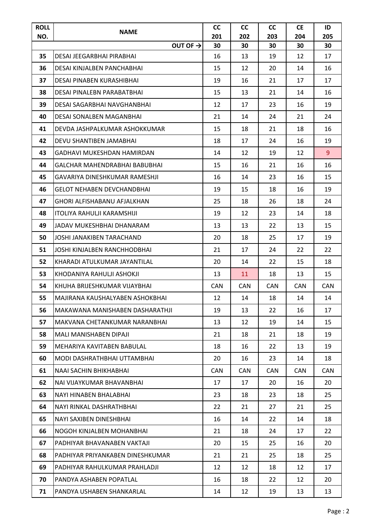| <b>ROLL</b><br>NO. | <b>NAME</b>                        | <b>CC</b><br>201 | cc<br>202  | <b>CC</b><br>203 | <b>CE</b><br>204 | ID<br>205      |
|--------------------|------------------------------------|------------------|------------|------------------|------------------|----------------|
|                    | OUT OF $\rightarrow$               | 30               | 30         | 30               | 30               | 30             |
| 35                 | <b>DESAI JEEGARBHAI PIRABHAI</b>   | 16               | 13         | 19               | 12               | 17             |
| 36                 | DESAI KINJALBEN PANCHABHAI         | 15               | 12         | 20               | 14               | 16             |
| 37                 | DESAI PINABEN KURASHIBHAI          | 19               | 16         | 21               | 17               | 17             |
| 38                 | DESAI PINALEBN PARABATBHAI         | 15               | 13         | 21               | 14               | 16             |
| 39                 | DESAI SAGARBHAI NAVGHANBHAI        | 12               | 17         | 23               | 16               | 19             |
| 40                 | DESAI SONALBEN MAGANBHAI           | 21               | 14         | 24               | 21               | 24             |
| 41                 | DEVDA JASHPALKUMAR ASHOKKUMAR      | 15               | 18         | 21               | 18               | 16             |
| 42                 | DEVU SHANTIBEN JAMABHAI            | 18               | 17         | 24               | 16               | 19             |
| 43                 | GADHAVI MUKESHDAN HAMIRDAN         | 14               | 12         | 19               | 12               | 9 <sup>°</sup> |
| 44                 | GALCHAR MAHENDRABHAI BABUBHAI      | 15               | 16         | 21               | 16               | 16             |
| 45                 | GAVARIYA DINESHKUMAR RAMESHJI      | 16               | 14         | 23               | 16               | 15             |
| 46                 | <b>GELOT NEHABEN DEVCHANDBHAI</b>  | 19               | 15         | 18               | 16               | 19             |
| 47                 | <b>GHORI ALFISHABANU AFJALKHAN</b> | 25               | 18         | 26               | 18               | 24             |
| 48                 | <b>ITOLIYA RAHULJI KARAMSHIJI</b>  | 19               | 12         | 23               | 14               | 18             |
| 49                 | JADAV MUKESHBHAI DHANARAM          | 13               | 13         | 22               | 13               | 15             |
| 50                 | JOSHI JANAKIBEN TARACHAND          | 20               | 18         | 25               | 17               | 19             |
| 51                 | JOSHI KINJALBEN RANCHHODBHAI       | 21               | 17         | 24               | 22               | 22             |
| 52                 | KHARADI ATULKUMAR JAYANTILAL       | 20               | 14         | 22               | 15               | 18             |
| 53                 | KHODANIYA RAHULJI ASHOKJI          | 13               | 11         | 18               | 13               | 15             |
| 54                 | KHUHA BRIJESHKUMAR VIJAYBHAI       | <b>CAN</b>       | <b>CAN</b> | <b>CAN</b>       | <b>CAN</b>       | <b>CAN</b>     |
| 55                 | MAJIRANA KAUSHALYABEN ASHOKBHAI    | 12               | 14         | 18               | 14               | 14             |
| 56                 | MAKAWANA MANISHABEN DASHARATHJI    | 19               | 13         | 22               | 16               | 17             |
| 57                 | MAKVANA CHETANKUMAR NARANBHAI      | 13               | 12         | 19               | 14               | 15             |
| 58                 | MALI MANISHABEN DIPAJI             | 21               | 18         | 21               | 18               | 19             |
| 59                 | MEHARIYA KAVITABEN BABULAL         | 18               | 16         | 22               | 13               | 19             |
| 60                 | MODI DASHRATHBHAI UTTAMBHAI        | 20               | 16         | 23               | 14               | 18             |
| 61                 | NAAI SACHIN BHIKHABHAI             | <b>CAN</b>       | <b>CAN</b> | <b>CAN</b>       | <b>CAN</b>       | <b>CAN</b>     |
| 62                 | NAI VIJAYKUMAR BHAVANBHAI          | 17               | 17         | 20               | 16               | 20             |
| 63                 | NAYI HINABEN BHALABHAI             | 23               | 18         | 23               | 18               | 25             |
| 64                 | NAYI RINKAL DASHRATHBHAI           | 22               | 21         | 27               | 21               | 25             |
| 65                 | NAYI SAXIBEN DINESHBHAI            | 16               | 14         | 22               | 14               | 18             |
| 66                 | NOGOH KINJALBEN MOHANBHAI          | 21               | 18         | 24               | 17               | 22             |
| 67                 | PADHIYAR BHAVANABEN VAKTAJI        | 20               | 15         | 25               | 16               | 20             |
| 68                 | PADHIYAR PRIYANKABEN DINESHKUMAR   | 21               | 21         | 25               | 18               | 25             |
| 69                 | PADHIYAR RAHULKUMAR PRAHLADJI      | 12               | 12         | 18               | 12               | 17             |
| 70                 | PANDYA ASHABEN POPATLAL            | 16               | 18         | 22               | 12               | 20             |
| 71                 | PANDYA USHABEN SHANKARLAL          | 14               | 12         | 19               | 13               | 13             |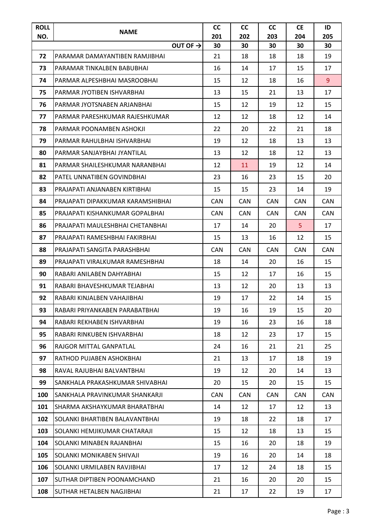| <b>ROLL</b><br>NO. | <b>NAME</b>                       | <b>CC</b><br>201 | cc<br>202  | cc<br>203  | <b>CE</b><br>204 | ID<br>205  |
|--------------------|-----------------------------------|------------------|------------|------------|------------------|------------|
|                    | OUT OF $\rightarrow$              | 30               | 30         | 30         | 30               | 30         |
| 72                 | PARAMAR DAMAYANTIBEN RAMJIBHAI    | 21               | 18         | 18         | 18               | 19         |
| 73                 | PARAMAR TINKALBEN BABUBHAI        | 16               | 14         | 17         | 15               | 17         |
| 74                 | PARMAR ALPESHBHAI MASROOBHAI      | 15               | 12         | 18         | 16               | 9          |
| 75                 | PARMAR JYOTIBEN ISHVARBHAI        | 13               | 15         | 21         | 13               | 17         |
| 76                 | PARMAR JYOTSNABEN ARJANBHAI       | 15               | 12         | 19         | 12               | 15         |
| 77                 | PARMAR PARESHKUMAR RAJESHKUMAR    | 12               | 12         | 18         | 12               | 14         |
| 78                 | PARMAR POONAMBEN ASHOKJI          | 22               | 20         | 22         | 21               | 18         |
| 79                 | PARMAR RAHULBHAI ISHVARBHAI       | 19               | 12         | 18         | 13               | 13         |
| 80                 | PARMAR SANJAYBHAI JYANTILAL       | 13               | 12         | 18         | 12               | 13         |
| 81                 | PARMAR SHAILESHKUMAR NARANBHAI    | 12               | 11         | 19         | 12               | 14         |
| 82                 | PATEL UNNATIBEN GOVINDBHAI        | 23               | 16         | 23         | 15               | 20         |
| 83                 | PRAJAPATI ANJANABEN KIRTIBHAI     | 15               | 15         | 23         | 14               | 19         |
| 84                 | PRAJAPATI DIPAKKUMAR KARAMSHIBHAI | <b>CAN</b>       | <b>CAN</b> | <b>CAN</b> | <b>CAN</b>       | <b>CAN</b> |
| 85                 | PRAJAPATI KISHANKUMAR GOPALBHAI   | <b>CAN</b>       | <b>CAN</b> | <b>CAN</b> | CAN.             | <b>CAN</b> |
| 86                 | PRAJAPATI MAULESHBHAI CHETANBHAI  | 17               | 14         | 20         | 5                | 17         |
| 87                 | PRAJAPATI RAMESHBHAI FAKIRBHAI    | 15               | 13         | 16         | 12               | 15         |
| 88                 | PRAJAPATI SANGITA PARASHBHAI      | <b>CAN</b>       | <b>CAN</b> | <b>CAN</b> | <b>CAN</b>       | <b>CAN</b> |
| 89                 | PRAJAPATI VIRALKUMAR RAMESHBHAI   | 18               | 14         | 20         | 16               | 15         |
| 90                 | RABARI ANILABEN DAHYABHAI         | 15               | 12         | 17         | 16               | 15         |
| 91                 | RABARI BHAVESHKUMAR TEJABHAI      | 13               | 12         | 20         | 13               | 13         |
| 92                 | RABARI KINJALBEN VAHAJIBHAI       | 19               | 17         | 22         | 14               | 15         |
| 93                 | RABARI PRIYANKABEN PARABATBHAI    | 19               | 16         | 19         | 15               | 20         |
| 94                 | RABARI REKHABEN ISHVARBHAI        | 19               | 16         | 23         | 16               | 18         |
| 95                 | RABARI RINKUBEN ISHVARBHAI        | 18               | 12         | 23         | 17               | 15         |
| 96                 | RAJGOR MITTAL GANPATLAL           | 24               | 16         | 21         | 21               | 25         |
| 97                 | RATHOD PUJABEN ASHOKBHAI          | 21               | 13         | 17         | 18               | 19         |
| 98                 | RAVAL RAJUBHAI BALVANTBHAI        | 19               | 12         | 20         | 14               | 13         |
| 99                 | SANKHALA PRAKASHKUMAR SHIVABHAI   | 20               | 15         | 20         | 15               | 15         |
| 100                | ISANKHALA PRAVINKUMAR SHANKARJI   | <b>CAN</b>       | <b>CAN</b> | <b>CAN</b> | CAN              | CAN        |
| 101                | ISHARMA AKSHAYKUMAR BHARATBHAI    | 14               | 12         | 17         | 12               | 13         |
| 102                | SOLANKI BHARTIBEN BALAVANTBHAI    | 19               | 18         | 22         | 18               | 17         |
| 103                | SOLANKI HEMJIKUMAR CHATARAJI      | 15               | 12         | 18         | 13               | 15         |
| 104                | ISOLANKI MINABEN RAJANBHAI        | 15               | 16         | 20         | 18               | 19         |
| 105                | SOLANKI MONIKABEN SHIVAJI         | 19               | 16         | 20         | 14               | 18         |
| 106                | SOLANKI URMILABEN RAVJIBHAI       | 17               | 12         | 24         | 18               | 15         |
| 107                | SUTHAR DIPTIBEN POONAMCHAND       | 21               | 16         | 20         | 20               | 15         |
| 108                | <b>SUTHAR HETALBEN NAGJIBHAI</b>  | 21               | 17         | 22         | 19               | 17         |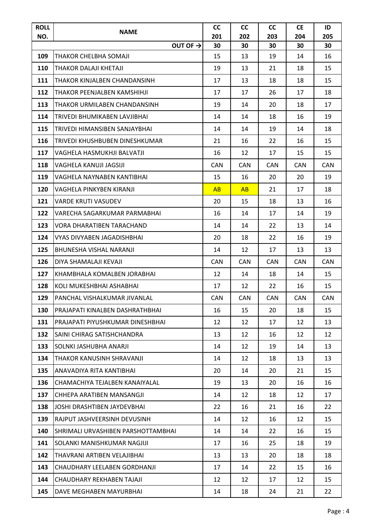| <b>ROLL</b><br>NO. | <b>NAME</b>                        | <b>CC</b><br>201 | cc<br>202  | <b>CC</b><br>203 | <b>CE</b><br>204 | ID<br>205 |
|--------------------|------------------------------------|------------------|------------|------------------|------------------|-----------|
|                    | OUT OF $\rightarrow$               | 30               | 30         | 30               | 30               | 30        |
| 109                | THAKOR CHELBHA SOMAJI              | 15               | 13         | 19               | 14               | 16        |
| 110                | ITHAKOR DALAJI KHETAJI             | 19               | 13         | 21               | 18               | 15        |
| 111                | THAKOR KINJALBEN CHANDANSINH       | 17               | 13         | 18               | 18               | 15        |
| 112                | THAKOR PEENJALBEN KAMSHIHJI        | 17               | 17         | 26               | 17               | 18        |
| 113                | THAKOR URMILABEN CHANDANSINH       | 19               | 14         | 20               | 18               | 17        |
| 114                | ITRIVEDI BHUMIKABEN LAVJIBHAI      | 14               | 14         | 18               | 16               | 19        |
| 115                | TRIVEDI HIMANSIBEN SANJAYBHAI      | 14               | 14         | 19               | 14               | 18        |
| 116                | TRIVEDI KHUSHBUBEN DINESHKUMAR     | 21               | 16         | 22               | 16               | 15        |
| 117                | VAGHELA HASMUKHJI BALVATJI         | 16               | 12         | 17               | 15               | 15        |
| 118                | VAGHELA KANUJI JAGSIJI             | <b>CAN</b>       | <b>CAN</b> | <b>CAN</b>       | <b>CAN</b>       | CAN       |
| 119                | VAGHELA NAYNABEN KANTIBHAI         | 15               | 16         | 20               | 20               | 19        |
| 120                | VAGHELA PINKYBEN KIRANJI           | AB               | AB         | 21               | 17               | 18        |
| 121                | <b>VARDE KRUTI VASUDEV</b>         | 20               | 15         | 18               | 13               | 16        |
| 122                | VARECHA SAGARKUMAR PARMABHAI       | 16               | 14         | 17               | 14               | 19        |
| 123                | <b>VORA DHARATIBEN TARACHAND</b>   | 14               | 14         | 22               | 13               | 14        |
| 124                | VYAS DIVYABEN JAGADISHBHAI         | 20               | 18         | 22               | 16               | 19        |
| 125                | <b>BHUNESHA VISHAL NARANJI</b>     | 14               | 12         | 17               | 13               | 13        |
| 126                | DIYA SHAMALAJI KEVAJI              | <b>CAN</b>       | <b>CAN</b> | <b>CAN</b>       | <b>CAN</b>       | CAN       |
| 127                | KHAMBHALA KOMALBEN JORABHAI        | 12               | 14         | 18               | 14               | 15        |
| 128                | KOLI MUKESHBHAI ASHABHAI           | 17               | 12         | 22               | 16               | 15        |
| 129                | PANCHAL VISHALKUMAR JIVANLAL       | <b>CAN</b>       | CAN        | <b>CAN</b>       | <b>CAN</b>       | CAN       |
| 130                | PRAJAPATI KINALBEN DASHRATHBHAI    | 16               | 15         | 20               | 18               | 15        |
| 131                | PRAJAPATI PIYUSHKUMAR DINESHBHAI   | 12               | 12         | 17               | 12               | 13        |
| 132                | SAINI CHIRAG SATISHCHANDRA         | 13               | 12         | 16               | 12               | 12        |
| 133                | SOLNKI JASHUBHA ANARJI             | 14               | 12         | 19               | 14               | 13        |
| 134                | THAKOR KANUSINH SHRAVANJI          | 14               | 12         | 18               | 13               | 13        |
| 135                | ANAVADIYA RITA KANTIBHAI           | 20               | 14         | 20               | 21               | 15        |
| 136                | CHAMACHIYA TEJALBEN KANAIYALAL     | 19               | 13         | 20               | 16               | 16        |
| 137                | CHHEPA ARATIBEN MANSANGJI          | 14               | 12         | 18               | 12               | 17        |
| 138                | JOSHI DRASHTIBEN JAYDEVBHAI        | 22               | 16         | 21               | 16               | 22        |
| 139                | RAJPUT JASHVEERSINH DEVUSINH       | 14               | 12         | 16               | 12               | 15        |
| 140                | SHRIMALI URVASHIBEN PARSHOTTAMBHAI | 14               | 14         | 22               | 16               | 15        |
| 141                | SOLANKI MANISHKUMAR NAGJIJI        | 17               | 16         | 25               | 18               | 19        |
| 142                | THAVRANI ARTIBEN VELAJIBHAI        | 13               | 13         | 20               | 18               | 18        |
| 143                | CHAUDHARY LEELABEN GORDHANJI       | 17               | 14         | 22               | 15               | 16        |
| 144                | CHAUDHARY REKHABEN TAJAJI          | 12               | 12         | 17               | 12               | 15        |
| 145                | DAVE MEGHABEN MAYURBHAI            | 14               | 18         | 24               | 21               | 22        |